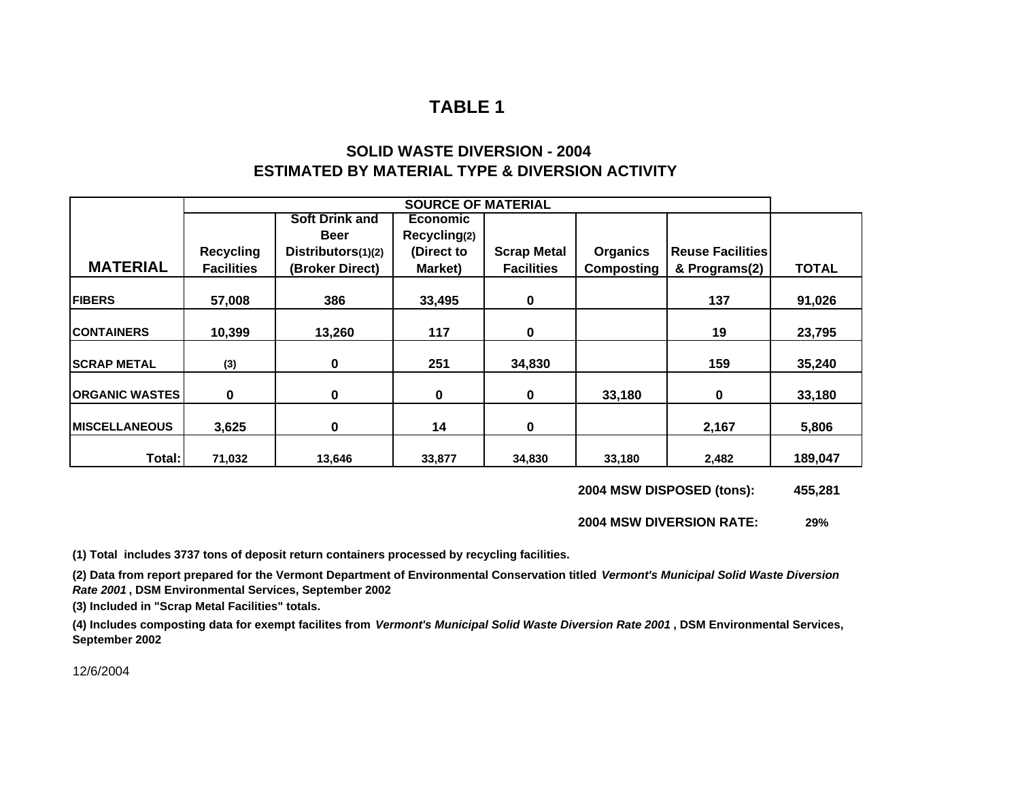# **SOLID WASTE DIVERSION - 2004ESTIMATED BY MATERIAL TYPE & DIVERSION ACTIVITY**

|                         |                   |                       | <b>SOURCE OF MATERIAL</b> |                    |                   |                      |              |
|-------------------------|-------------------|-----------------------|---------------------------|--------------------|-------------------|----------------------|--------------|
|                         |                   | <b>Soft Drink and</b> | Economic                  |                    |                   |                      |              |
|                         |                   | <b>Beer</b>           | Recycling(2)              |                    |                   |                      |              |
|                         | <b>Recycling</b>  | Distributors(1)(2)    | (Direct to                | <b>Scrap Metal</b> | <b>Organics</b>   | l Reuse Facilities l |              |
| <b>MATERIAL</b>         | <b>Facilities</b> | (Broker Direct)       | Market)                   | <b>Facilities</b>  | <b>Composting</b> | & Programs(2)        | <b>TOTAL</b> |
| <b>FIBERS</b>           | 57,008            | 386                   | 33,495                    | 0                  |                   | 137                  | 91,026       |
| <b>ICONTAINERS</b>      | 10,399            | 13,260                | 117                       | 0                  |                   | 19                   | 23,795       |
| <b>SCRAP METAL</b>      | (3)               | 0                     | 251                       | 34,830             |                   | 159                  | 35,240       |
| <b> ORGANIC WASTES </b> | 0                 | 0                     | $\mathbf 0$               | 0                  | 33,180            | $\mathbf 0$          | 33,180       |
| <b>IMISCELLANEOUS</b>   | 3,625             | 0                     | 14                        | 0                  |                   | 2,167                | 5,806        |
| Total:                  | 71,032            | 13,646                | 33,877                    | 34,830             | 33,180            | 2,482                | 189,047      |

**2004 MSW DISPOSED (tons): 455,281**

**2004 MSW DIVERSION RATE:29%**

**(1) Total includes 3737 tons of deposit return containers processed by recycling facilities.**

**(2) Data from report prepared for the Vermont Department of Environmental Conservation titled** *Vermont's Municipal Solid Waste Diversion Rate 2001* **, DSM Environmental Services, September 2002**

**(3) Included in "Scrap Metal Facilities" totals.**

**(4) Includes composting data for exempt facilites from** *Vermont's Municipal Solid Waste Diversion Rate 2001* **, DSM Environmental Services, September 2002**

12/6/2004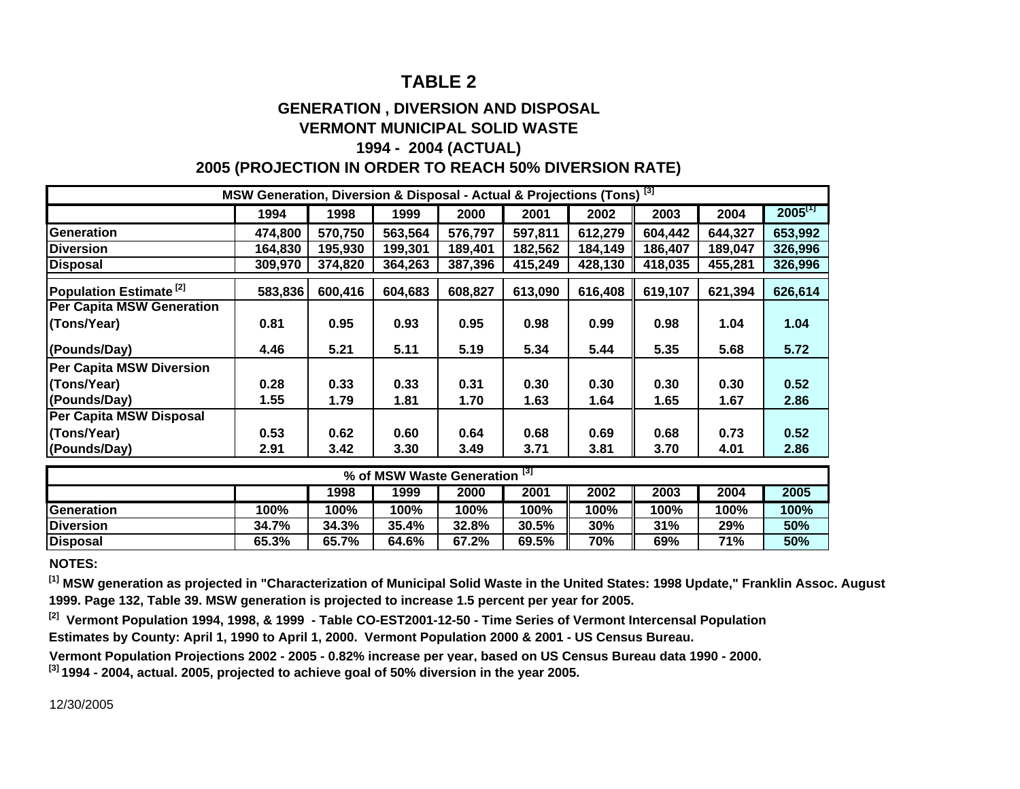### **GENERATION , DIVERSION AND DISPOSAL VERMONT MUNICIPAL SOLID WASTE**

### **1994 - 2004 (ACTUAL) 2005 (PROJECTION IN ORDER TO REACH 50% DIVERSION RATE)**

| MSW Generation, Diversion & Disposal - Actual & Projections (Tons) <sup>[3]</sup> |         |                  |                           |         |             |         |         |                         |                       |  |
|-----------------------------------------------------------------------------------|---------|------------------|---------------------------|---------|-------------|---------|---------|-------------------------|-----------------------|--|
|                                                                                   | 1994    | 1998             | 1999                      | 2000    | 2001        | 2002    | 2003    | 2004                    | $2005$ <sup>[1]</sup> |  |
| <b>Generation</b>                                                                 | 474,800 | 570,750          | 563,564                   | 576,797 | 597,811     | 612,279 | 604,442 | 644,327                 | 653,992               |  |
| <b>Diversion</b>                                                                  | 164,830 | 195,930          | 199,301                   | 189,401 | 182,562     | 184,149 | 186,407 | 189,047                 | 326,996               |  |
| <b>Disposal</b>                                                                   | 309,970 | 374,820          | 364,263                   | 387,396 | 415,249     | 428,130 | 418,035 | 455,281                 | 326,996               |  |
| Population Estimate <sup>[2]</sup>                                                | 583,836 | 600,416          | 604,683                   | 608,827 | 613,090     | 616,408 | 619,107 | 621,394                 | 626,614               |  |
| <b>Per Capita MSW Generation</b>                                                  |         |                  |                           |         |             |         |         |                         |                       |  |
| (Tons/Year)                                                                       | 0.81    | 0.95             | 0.93                      | 0.95    | 0.98        | 0.99    | 0.98    | 1.04                    | 1.04                  |  |
| (Pounds/Day)                                                                      | 4.46    | 5.21             | 5.11                      | 5.19    | 5.34        | 5.44    | 5.35    | 5.68                    | 5.72                  |  |
| <b>Per Capita MSW Diversion</b>                                                   |         |                  |                           |         |             |         |         |                         |                       |  |
| (Tons/Year)                                                                       | 0.28    | 0.33             | 0.33                      | 0.31    | 0.30        | 0.30    | 0.30    | 0.30                    | 0.52                  |  |
| (Pounds/Day)                                                                      | 1.55    | 1.79             | 1.81                      | 1.70    | 1.63        | 1.64    | 1.65    | 1.67                    | 2.86                  |  |
| Per Capita MSW Disposal                                                           |         |                  |                           |         |             |         |         |                         |                       |  |
| (Tons/Year)                                                                       | 0.53    | 0.62             | 0.60                      | 0.64    | 0.68        | 0.69    | 0.68    | 0.73                    | 0.52                  |  |
| (Pounds/Day)                                                                      | 2.91    | 3.42             | 3.30                      | 3.49    | 3.71        | 3.81    | 3.70    | 4.01                    | 2.86                  |  |
|                                                                                   |         |                  | % of MSW Waste Generation |         | [3]         |         |         |                         |                       |  |
|                                                                                   |         | $\overline{400}$ | 4000                      | 0.000   | <b>DOO4</b> |         |         | $\overline{\mathbf{u}}$ | 00E                   |  |

|            |       | 1998  | 1999  | 2000  | 2001  | 2002 | 2003 | 2004 | 2005 |
|------------|-------|-------|-------|-------|-------|------|------|------|------|
| Generation | 100%  | 100%  | 100%  | 100%  | 100%  | 100% | 100% | 100% | 100% |
| Diversion  | 34.7% | 34.3% | 35.4% | 32.8% | 30.5% | 30%  | 31%  | 29%  | 50%  |
| Disposal   | 65.3% | 65.7% | 64.6% | 67.2% | 69.5% | 70%  | 69%  | 71%  | 50%  |

**NOTES:**

**[1] MSW generation as projected in "Characterization of Municipal Solid Waste in the United States: 1998 Update," Franklin Assoc. August 1999. Page 132, Table 39. MSW generation is projected to increase 1.5 percent per year for 2005.**

**[2] Vermont Population 1994, 1998, & 1999 - Table CO-EST2001-12-50 - Time Series of Vermont Intercensal Population Estimates by County: April 1, 1990 to April 1, 2000. Vermont Population 2000 & 2001 - US Census Bureau.**

**Vermont Population Proiections 2002 - 2005 - 0.82% increase per vear. based on US Census Bureau data 1990 - 2000.** 

**[3] 1994 - 2004, actual. 2005, projected to achieve goal of 50% diversion in the year 2005.**

12/30/2005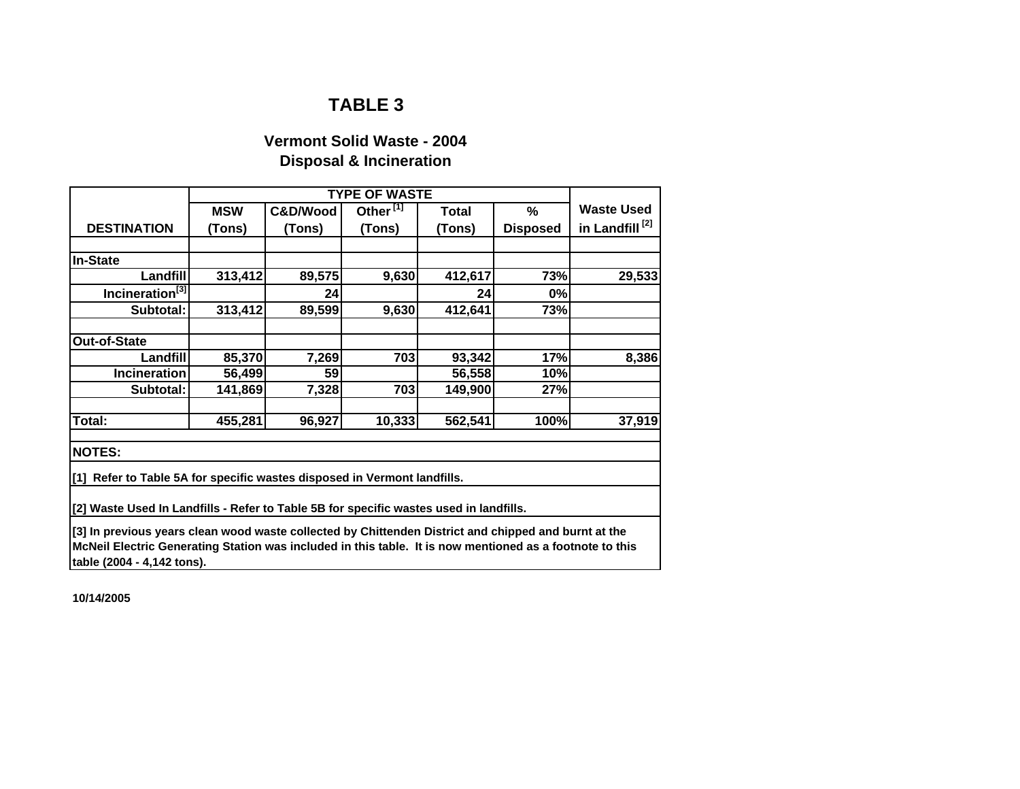# **Vermont Solid Waste - 2004 Disposal & Incineration**

|                                                                                                          |                               |          | <b>TYPE OF WASTE</b> |              |                 |                            |  |  |
|----------------------------------------------------------------------------------------------------------|-------------------------------|----------|----------------------|--------------|-----------------|----------------------------|--|--|
|                                                                                                          | <b>MSW</b>                    | C&D/Wood | Other <sup>[1]</sup> | <b>Total</b> | $\%$            | <b>Waste Used</b>          |  |  |
| <b>DESTINATION</b>                                                                                       | (Tons)                        | (Tons)   | (Tons)               | (Tons)       | <b>Disposed</b> | in Landfill <sup>[2]</sup> |  |  |
|                                                                                                          |                               |          |                      |              |                 |                            |  |  |
| <b>In-State</b>                                                                                          |                               |          |                      |              |                 |                            |  |  |
| Landfill                                                                                                 | 313,412                       | 89,575   | 9,630                | 412,617      | 73%             | 29,533                     |  |  |
| Incineration <sup>[3]</sup>                                                                              |                               | 24       |                      | 24           | 0%              |                            |  |  |
| Subtotal:                                                                                                | 313,412                       | 89,599   | 9,630                | 412,641      | 73%             |                            |  |  |
| Out-of-State                                                                                             |                               |          |                      |              |                 |                            |  |  |
| Landfill                                                                                                 | 85,370                        | 7,269    | 703                  | 93,342       | 17%             | 8,386                      |  |  |
| <b>Incineration</b>                                                                                      | 59<br>56,499<br>56,558<br>10% |          |                      |              |                 |                            |  |  |
| Subtotal:                                                                                                | 141,869                       | 7,328    | 703                  | 149,900      | 27%             |                            |  |  |
| Total:                                                                                                   | 455,281                       | 96,927   | 10,333               | 562,541      | 100%            | 37,919                     |  |  |
| <b>NOTES:</b>                                                                                            |                               |          |                      |              |                 |                            |  |  |
| [1] Refer to Table 5A for specific wastes disposed in Vermont landfills.                                 |                               |          |                      |              |                 |                            |  |  |
| [2] Waste Used In Landfills - Refer to Table 5B for specific wastes used in landfills.                   |                               |          |                      |              |                 |                            |  |  |
| [3] In previous years clean wood waste collected by Chittenden District and chipped and burnt at the     |                               |          |                      |              |                 |                            |  |  |
| McNeil Electric Generating Station was included in this table. It is now mentioned as a footnote to this |                               |          |                      |              |                 |                            |  |  |
| table (2004 - 4,142 tons).                                                                               |                               |          |                      |              |                 |                            |  |  |

**10/14/2005**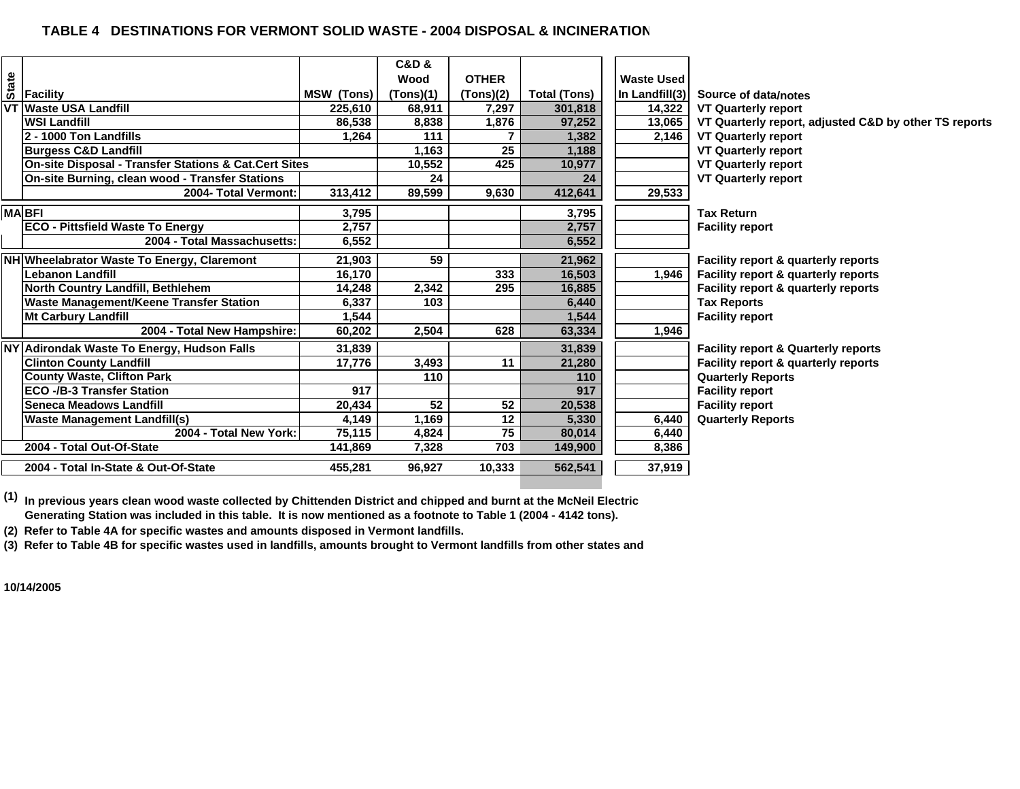#### **TABLE 4 DESTINATIONS FOR VERMONT SOLID WASTE - 2004 DISPOSAL & INCINERATION**

|              |                                                       |            | <b>C&amp;D &amp;</b> |              |                     |                   |                                                       |
|--------------|-------------------------------------------------------|------------|----------------------|--------------|---------------------|-------------------|-------------------------------------------------------|
| <b>State</b> |                                                       |            | Wood                 | <b>OTHER</b> |                     | <b>Waste Used</b> |                                                       |
|              | <b>Facility</b>                                       | MSW (Tons) | (Tons)(1)            | (Tons)(2)    | <b>Total (Tons)</b> | In Landfill(3)    | Source of data/notes                                  |
| VТ           | <b>Waste USA Landfill</b>                             | 225.610    | 68.911               | 7.297        | 301,818             | 14,322            | <b>VT Quarterly report</b>                            |
|              | <b>WSI Landfill</b>                                   | 86,538     | 8,838                | 1.876        | 97,252              | 13,065            | VT Quarterly report, adjusted C&D by other TS reports |
|              | 2 - 1000 Ton Landfills                                | 1.264      | 111                  |              | 1,382               | 2,146             | <b>VT Quarterly report</b>                            |
|              | <b>Burgess C&amp;D Landfill</b>                       |            | 1.163                | 25           | 1,188               |                   | <b>VT Quarterly report</b>                            |
|              | On-site Disposal - Transfer Stations & Cat.Cert Sites |            | 10,552               | 425          | 10,977              |                   | <b>VT Quarterly report</b>                            |
|              | On-site Burning, clean wood - Transfer Stations       |            | 24                   |              | 24                  |                   | <b>VT Quarterly report</b>                            |
|              | 2004- Total Vermont:                                  | 313,412    | 89,599               | 9,630        | 412,641             | 29,533            |                                                       |
|              | <b>MABFI</b>                                          | 3,795      |                      |              | 3,795               |                   | <b>Tax Return</b>                                     |
|              | <b>ECO - Pittsfield Waste To Energy</b>               | 2,757      |                      |              | 2,757               |                   | <b>Facility report</b>                                |
|              | 2004 - Total Massachusetts:                           | 6,552      |                      |              | 6,552               |                   |                                                       |
|              | NH Wheelabrator Waste To Energy, Claremont            | 21,903     | 59                   |              | 21,962              |                   | Facility report & quarterly reports                   |
|              | <b>Lebanon Landfill</b>                               | 16,170     |                      | 333          | 16.503              | 1.946             | Facility report & quarterly reports                   |
|              | North Country Landfill, Bethlehem                     | 14,248     | 2,342                | 295          | 16.885              |                   | Facility report & quarterly reports                   |
|              | Waste Management/Keene Transfer Station               | 6,337      | 103                  |              | 6,440               |                   | <b>Tax Reports</b>                                    |
|              | <b>Mt Carbury Landfill</b>                            | 1,544      |                      |              | 1,544               |                   | <b>Facility report</b>                                |
|              | 2004 - Total New Hampshire:                           | 60,202     | 2,504                | 628          | 63,334              | 1,946             |                                                       |
|              | NY Adirondak Waste To Energy, Hudson Falls            | 31.839     |                      |              | 31,839              |                   | <b>Facility report &amp; Quarterly reports</b>        |
|              | <b>Clinton County Landfill</b>                        | 17,776     | 3,493                | 11           | 21,280              |                   | Facility report & quarterly reports                   |
|              | <b>County Waste, Clifton Park</b>                     |            | 110                  |              | 110                 |                   | <b>Quarterly Reports</b>                              |
|              | <b>ECO -/B-3 Transfer Station</b>                     | 917        |                      |              | 917                 |                   | <b>Facility report</b>                                |
|              | Seneca Meadows Landfill                               | 20,434     | 52                   | 52           | 20,538              |                   | <b>Facility report</b>                                |
|              | <b>Waste Management Landfill(s)</b>                   | 4,149      | 1,169                | 12           | 5,330               | 6,440             | <b>Quarterly Reports</b>                              |
|              | 2004 - Total New York:                                | 75,115     | 4,824                | 75           | 80,014              | 6,440             |                                                       |
|              | 2004 - Total Out-Of-State                             | 141,869    | 7,328                | 703          | 149,900             | 8,386             |                                                       |
|              | 2004 - Total In-State & Out-Of-State                  | 455,281    | 96,927               | 10,333       | 562,541             | 37,919            |                                                       |

**(1) In previous years clean wood waste collected by Chittenden District and chipped and burnt at the McNeil Electric Generating Station was included in this table. It is now mentioned as a footnote to Table 1 (2004 - 4142 tons).**

**(2) Refer to Table 4A for specific wastes and amounts disposed in Vermont landfills.**

**(3) Refer to Table 4B for specific wastes used in landfills, amounts brought to Vermont landfills from other states and** 

**10/14/2005**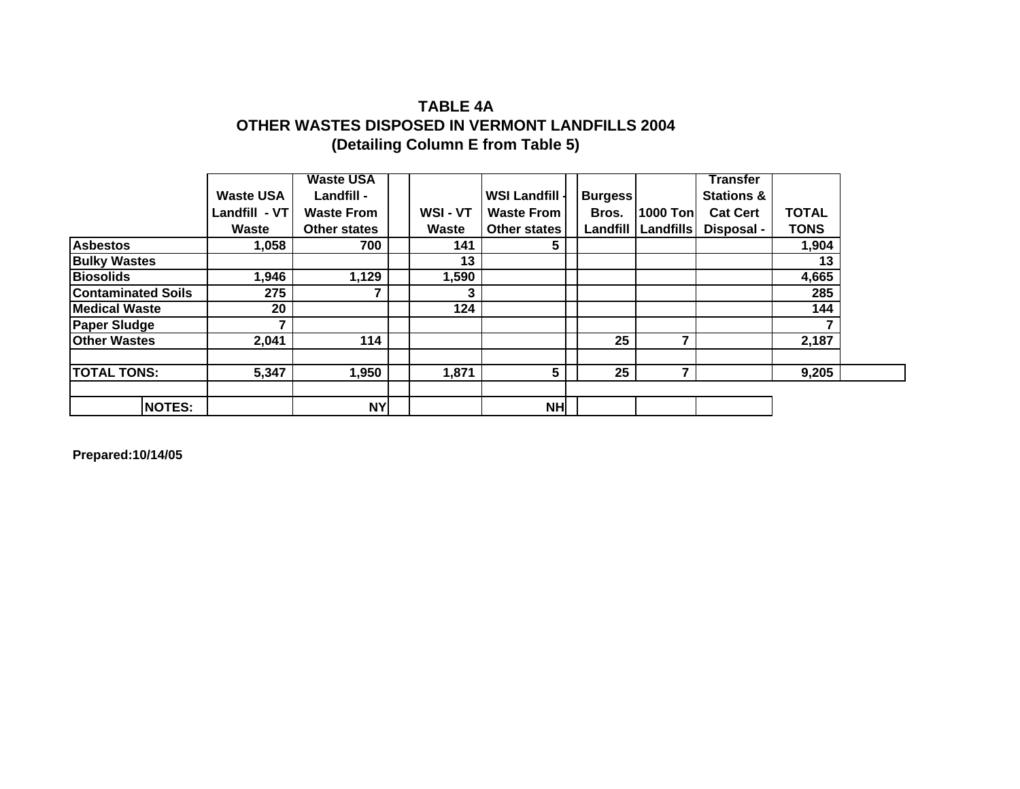# **(Detailing Column E from Table 5) OTHER WASTES DISPOSED IN VERMONT LANDFILLS 2004 TABLE 4A**

|                           |                  | <b>Waste USA</b>  |        |                     |                |                  | <b>Transfer</b>       |              |  |
|---------------------------|------------------|-------------------|--------|---------------------|----------------|------------------|-----------------------|--------------|--|
|                           | <b>Waste USA</b> | Landfill -        |        | <b>WSI Landfill</b> | <b>Burgess</b> |                  | <b>Stations &amp;</b> |              |  |
|                           | Landfill - VT    | <b>Waste From</b> | WSI-VT | <b>Waste From</b>   | Bros.          | <b>1000 Tonl</b> | <b>Cat Cert</b>       | <b>TOTAL</b> |  |
|                           | Waste            | Other states      | Waste  | <b>Other states</b> | Landfill       | Landfills        | Disposal -            | <b>TONS</b>  |  |
| <b>Asbestos</b>           | 1,058            | 700               | 141    | 5                   |                |                  |                       | 1,904        |  |
| <b>Bulky Wastes</b>       |                  |                   | 13     |                     |                |                  |                       | 13           |  |
| <b>Biosolids</b>          | 1,946            | 1,129             | 1,590  |                     |                |                  |                       | 4,665        |  |
| <b>Contaminated Soils</b> | 275              |                   | 3      |                     |                |                  |                       | 285          |  |
| <b>Medical Waste</b>      | 20               |                   | 124    |                     |                |                  |                       | 144          |  |
| <b>Paper Sludge</b>       |                  |                   |        |                     |                |                  |                       |              |  |
| <b>Other Wastes</b>       | 2,041            | 114               |        |                     | 25             |                  |                       | 2,187        |  |
| <b>TOTAL TONS:</b>        | 5,347            | 1,950             | 1,871  | 5                   | 25             |                  |                       | 9,205        |  |
|                           |                  |                   |        |                     |                |                  |                       |              |  |
| <b>NOTES:</b>             |                  | <b>NY</b>         |        | <b>NH</b>           |                |                  |                       |              |  |

**Prepared:10/14/05**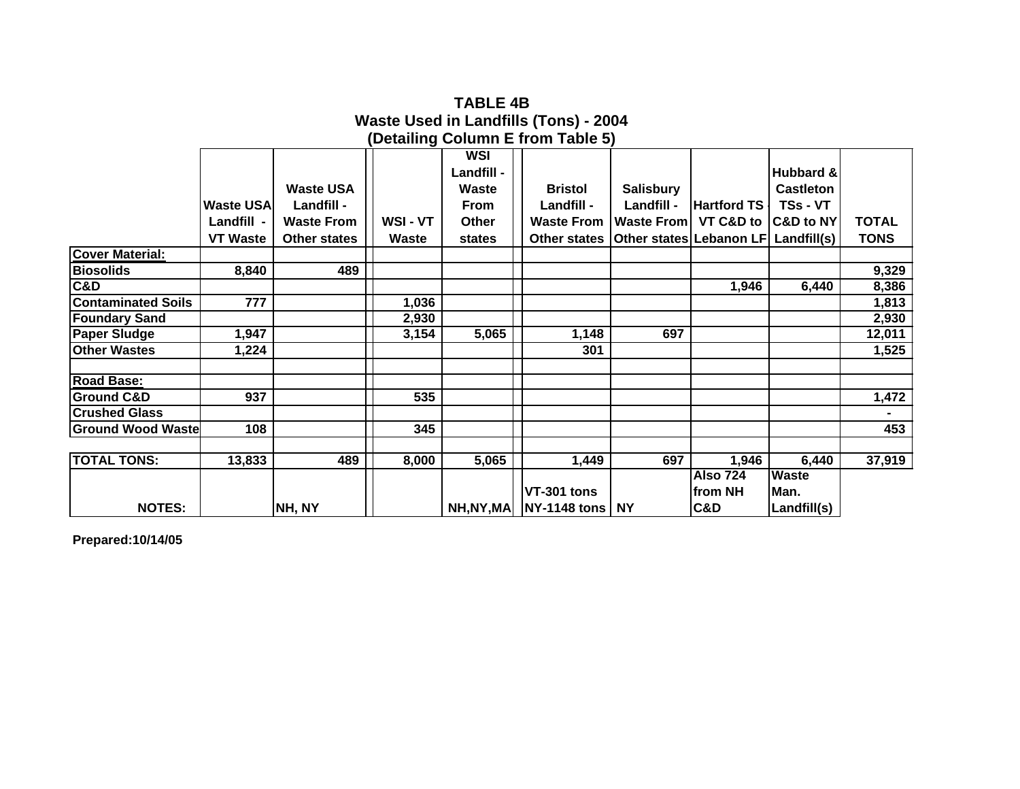|                           |                  |                     |        |              | (Detailing Column E from Table 5)                      |                   |                     |                  |              |
|---------------------------|------------------|---------------------|--------|--------------|--------------------------------------------------------|-------------------|---------------------|------------------|--------------|
|                           |                  |                     |        | WSI          |                                                        |                   |                     |                  |              |
|                           |                  |                     |        | Landfill -   |                                                        |                   |                     | Hubbard &        |              |
|                           |                  | <b>Waste USA</b>    |        | Waste        | <b>Bristol</b>                                         | <b>Salisbury</b>  |                     | <b>Castleton</b> |              |
|                           | <b>Waste USA</b> | Landfill -          |        | From         | Landfill -                                             | Landfill -        | <b>Hartford TS</b>  | TSs - VT         |              |
|                           | Landfill -       | <b>Waste From</b>   | WSI-VT | <b>Other</b> | <b>Waste From</b>                                      | <b>Waste From</b> | VT C&D to C&D to NY |                  | <b>TOTAL</b> |
|                           | <b>VT Waste</b>  | <b>Other states</b> | Waste  | states       | Other states   Other states   Lebanon LF   Landfill(s) |                   |                     |                  | <b>TONS</b>  |
| <b>Cover Material:</b>    |                  |                     |        |              |                                                        |                   |                     |                  |              |
| <b>Biosolids</b>          | 8,840            | 489                 |        |              |                                                        |                   |                     |                  | 9,329        |
| C&D                       |                  |                     |        |              |                                                        |                   | 1,946               | 6,440            | 8,386        |
| <b>Contaminated Soils</b> | 777              |                     | 1,036  |              |                                                        |                   |                     |                  | 1,813        |
| <b>Foundary Sand</b>      |                  |                     | 2,930  |              |                                                        |                   |                     |                  | 2,930        |
| <b>Paper Sludge</b>       | 1,947            |                     | 3,154  | 5,065        | 1,148                                                  | 697               |                     |                  | 12,011       |
| <b>Other Wastes</b>       | 1,224            |                     |        |              | 301                                                    |                   |                     |                  | 1,525        |
|                           |                  |                     |        |              |                                                        |                   |                     |                  |              |
| <b>Road Base:</b>         |                  |                     |        |              |                                                        |                   |                     |                  |              |
| <b>Ground C&amp;D</b>     | 937              |                     | 535    |              |                                                        |                   |                     |                  | 1,472        |
| <b>Crushed Glass</b>      |                  |                     |        |              |                                                        |                   |                     |                  |              |
| <b>Ground Wood Waste</b>  | 108              |                     | 345    |              |                                                        |                   |                     |                  | 453          |
|                           |                  |                     |        |              |                                                        |                   |                     |                  |              |
| <b>TOTAL TONS:</b>        | 13,833           | 489                 | 8,000  | 5,065        | 1,449                                                  | 697               | 1,946               | 6,440            | 37,919       |
|                           |                  |                     |        |              |                                                        |                   | <b>Also 724</b>     | <b>Waste</b>     |              |
|                           |                  |                     |        |              | VT-301 tons                                            |                   | lfrom NH            | Man.             |              |
| <b>NOTES:</b>             |                  | NH, NY              |        |              | NH, NY, MA   NY-1148 tons   NY                         |                   | <b>C&amp;D</b>      | Landfill(s)      |              |

**Waste Used in Landfills (Tons) - 2004 TABLE 4B**

**Prepared:10/14/05**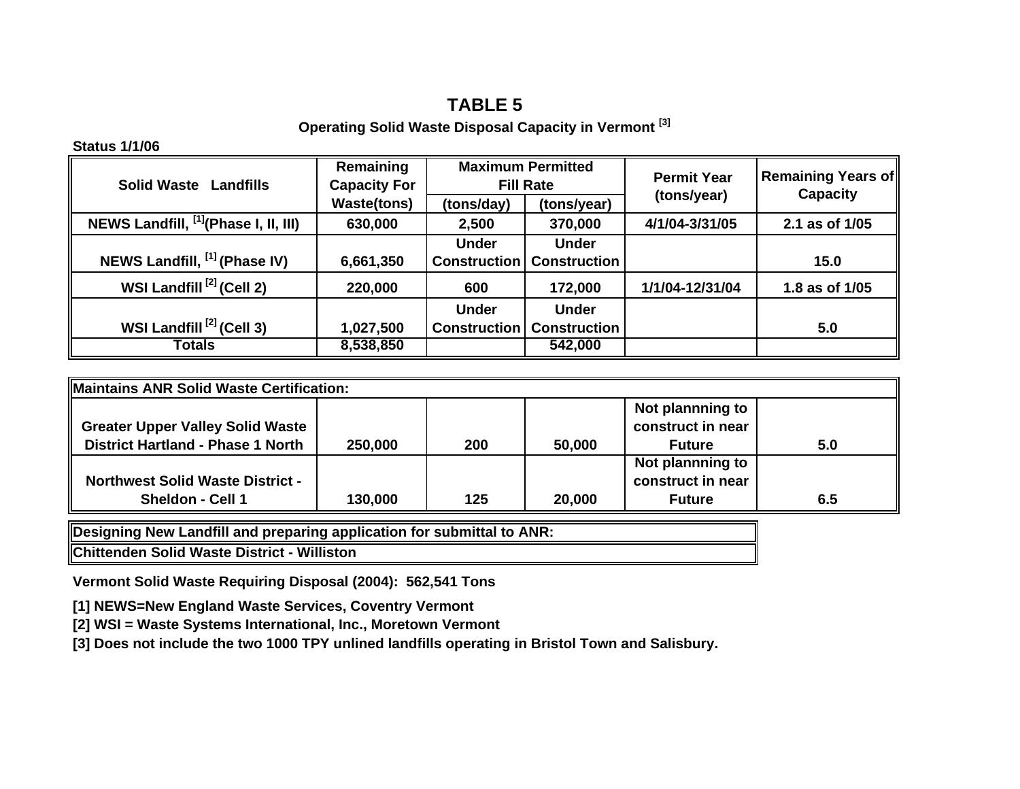### **Operating Solid Waste Disposal Capacity in Vermont [3]**

### **Status 1/1/06**

| <b>Solid Waste Landfills</b>                     | Remaining<br><b>Capacity For</b> |                     | <b>Maximum Permitted</b><br><b>Fill Rate</b> | <b>Permit Year</b> | Remaining Years of<br><b>Capacity</b> |
|--------------------------------------------------|----------------------------------|---------------------|----------------------------------------------|--------------------|---------------------------------------|
|                                                  | <b>Waste(tons)</b>               | (tons/day)          | (tons/year)                                  | (tons/year)        |                                       |
| NEWS Landfill, <sup>[1]</sup> (Phase I, II, III) | 630,000                          | 2,500               | 370,000                                      |                    | 2.1 as of 1/05                        |
|                                                  |                                  | <b>Under</b>        | <b>Under</b>                                 |                    |                                       |
| NEWS Landfill, [1] (Phase IV)                    | 6,661,350                        | <b>Construction</b> | <b>Construction</b>                          |                    | 15.0                                  |
| WSI Landfill <sup>[2]</sup> (Cell 2)             | 220,000                          | 600                 | 172,000                                      | 1/1/04-12/31/04    | 1.8 as of 1/05                        |
|                                                  |                                  | <b>Under</b>        | <b>Under</b>                                 |                    |                                       |
| WSI Landfill <sup>[2]</sup> (Cell 3)             | 1,027,500                        | <b>Construction</b> | <b>Construction</b>                          |                    | 5.0                                   |
| Totals                                           | 8,538,850                        |                     | 542,000                                      |                    |                                       |

| Maintains ANR Solid Waste Certification: |         |     |        |                                       |     |
|------------------------------------------|---------|-----|--------|---------------------------------------|-----|
| <b>Greater Upper Valley Solid Waste</b>  |         |     |        | Not plannning to<br>construct in near |     |
| <b>District Hartland - Phase 1 North</b> | 250,000 | 200 | 50,000 | <b>Future</b>                         | 5.0 |
|                                          |         |     |        | Not plannning to                      |     |
| <b>Northwest Solid Waste District -</b>  |         |     |        | construct in near                     |     |
| <b>Sheldon - Cell 1</b>                  | 130,000 | 125 | 20,000 | <b>Future</b>                         | 6.5 |

**Designing New Landfill and preparing application for submittal to ANR:**

**Chittenden Solid Waste District - Williston**

**Vermont Solid Waste Requiring Disposal (2004): 562,541 Tons**

**[1] NEWS=New England Waste Services, Coventry Vermont**

**[2] WSI = Waste Systems International, Inc., Moretown Vermont**

**[3] Does not include the two 1000 TPY unlined landfills operating in Bristol Town and Salisbury.**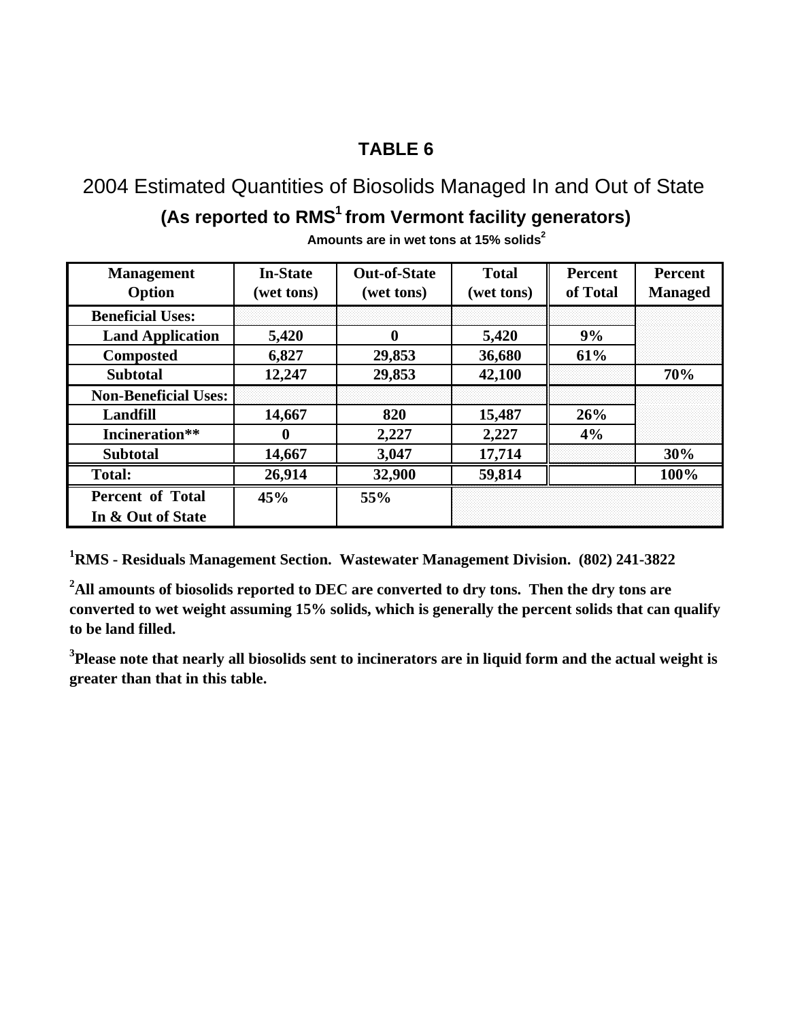2004 Estimated Quantities of Biosolids Managed In and Out of State (As reported to RMS<sup>1</sup> from Vermont facility generators)

| <b>Management</b>           | <b>In-State</b> | <b>Out-of-State</b> | <b>Total</b> | <b>Percent</b> | <b>Percent</b> |  |
|-----------------------------|-----------------|---------------------|--------------|----------------|----------------|--|
| Option                      | (wet tons)      | (wet tons)          | (wet tons)   | of Total       | <b>Managed</b> |  |
| <b>Beneficial Uses:</b>     |                 |                     |              |                |                |  |
| <b>Land Application</b>     | 5,420           | 0                   | 5,420        | 9%             |                |  |
| <b>Composted</b>            | 6,827           | 29,853              | 36,680       | 61%            |                |  |
| <b>Subtotal</b>             | 12,247          | 29,853              | 42,100       |                | 70%            |  |
| <b>Non-Beneficial Uses:</b> |                 |                     |              |                |                |  |
| Landfill                    | 14,667          | 820                 | 15,487       | 26%            |                |  |
| Incineration**              | $\mathbf 0$     | 2,227               | 2,227        | 4%             |                |  |
| <b>Subtotal</b>             | 14,667          | 3,047               | 17,714       |                | 30%            |  |
| <b>Total:</b>               | 26,914          | 32,900              | 59,814       |                | 100%           |  |
| <b>Percent of Total</b>     | 45%             | 55%                 |              |                |                |  |
| In & Out of State           |                 |                     |              |                |                |  |

**Amounts are in wet tons at 15% solids2**

**1 RMS - Residuals Management Section. Wastewater Management Division. (802) 241-3822**

**2 All amounts of biosolids reported to DEC are converted to dry tons. Then the dry tons are converted to wet weight assuming 15% solids, which is generally the percent solids that can qualify to be land filled.**

**3 Please note that nearly all biosolids sent to incinerators are in liquid form and the actual weight is greater than that in this table.**